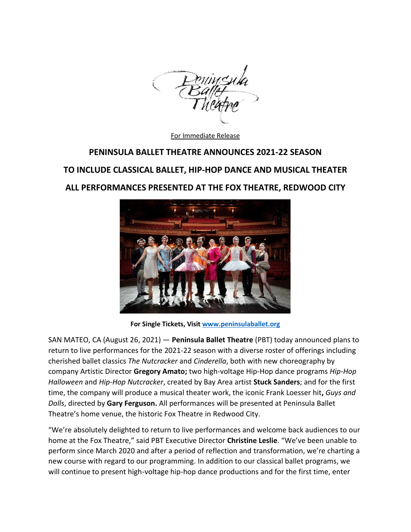

For Immediate Release

# **PENINSULA BALLET THEATRE ANNOUNCES 2021-22 SEASON**

## **TO INCLUDE CLASSICAL BALLET, HIP-HOP DANCE AND MUSICAL THEATER**

## **ALL PERFORMANCES PRESENTED AT THE FOX THEATRE, REDWOOD CITY**



**For Single Tickets, Visit [www.peninsulaballet.org](http://www.peninsulaballet.org/)**

SAN MATEO, CA (August 26, 2021) — **Peninsula Ballet Theatre** (PBT) today announced plans to return to live performances for the 2021-22 season with a diverse roster of offerings including cherished ballet classics *The Nutcracker* and *Cinderella*, both with new choreography by company Artistic Director **Gregory Amato;** two high-voltage Hip-Hop dance programs *Hip-Hop Halloween* and *Hip-Hop Nutcracker*, created by Bay Area artist **Stuck Sanders**; and for the first time, the company will produce a musical theater work, the iconic Frank Loesser hit**,** *Guys and Dolls*, directed by **Gary Ferguson.** All performances will be presented at Peninsula Ballet Theatre's home venue, the historic Fox Theatre in Redwood City.

"We're absolutely delighted to return to live performances and welcome back audiences to our home at the Fox Theatre," said PBT Executive Director **Christine Leslie**. "We've been unable to perform since March 2020 and after a period of reflection and transformation, we're charting a new course with regard to our programming. In addition to our classical ballet programs, we will continue to present high-voltage hip-hop dance productions and for the first time, enter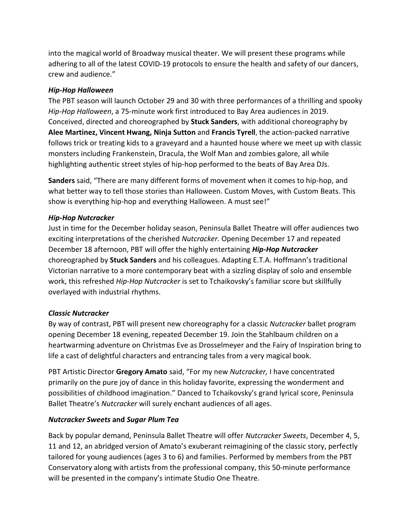into the magical world of Broadway musical theater. We will present these programs while adhering to all of the latest COVID-19 protocols to ensure the health and safety of our dancers, crew and audience."

#### *Hip-Hop Halloween*

The PBT season will launch October 29 and 30 with three performances of a thrilling and spooky *Hip-Hop Halloween*, a 75-minute work first introduced to Bay Area audiences in 2019. Conceived, directed and choreographed by **Stuck Sanders**, with additional choreography by **Alee Martinez, Vincent Hwang, Ninja Sutton** and **Francis Tyrell**, the action-packed narrative follows trick or treating kids to a graveyard and a haunted house where we meet up with classic monsters including Frankenstein, Dracula, the Wolf Man and zombies galore, all while highlighting authentic street styles of hip-hop performed to the beats of Bay Area DJs.

**Sanders** said, "There are many different forms of movement when it comes to hip-hop, and what better way to tell those stories than Halloween. Custom Moves, with Custom Beats. This show is everything hip-hop and everything Halloween. A must see!"

#### *Hip-Hop Nutcracker*

Just in time for the December holiday season, Peninsula Ballet Theatre will offer audiences two exciting interpretations of the cherished *Nutcracker.* Opening December 17 and repeated December 18 afternoon, PBT will offer the highly entertaining *Hip-Hop Nutcracker* choreographed by **Stuck Sanders** and his colleagues. Adapting E.T.A. Hoffmann's traditional Victorian narrative to a more contemporary beat with a sizzling display of solo and ensemble work, this refreshed *Hip-Hop Nutcracker* is set to Tchaikovsky's familiar score but skillfully overlayed with industrial rhythms.

#### *Classic Nutcracker*

By way of contrast, PBT will present new choreography for a classic *Nutcracker* ballet program opening December 18 evening, repeated December 19. Join the Stahlbaum children on a heartwarming adventure on Christmas Eve as Drosselmeyer and the Fairy of Inspiration bring to life a cast of delightful characters and entrancing tales from a very magical book.

PBT Artistic Director **Gregory Amato** said, "For my new *Nutcracker,* I have concentrated primarily on the pure joy of dance in this holiday favorite, expressing the wonderment and possibilities of childhood imagination." Danced to Tchaikovsky's grand lyrical score, Peninsula Ballet Theatre's *Nutcracker* will surely enchant audiences of all ages.

### *Nutcracker Sweets* **and** *Sugar Plum Tea*

Back by popular demand, Peninsula Ballet Theatre will offer *Nutcracker Sweets*, December 4, 5, 11 and 12, an abridged version of Amato's exuberant reimagining of the classic story, perfectly tailored for young audiences (ages 3 to 6) and families. Performed by members from the PBT Conservatory along with artists from the professional company, this 50-minute performance will be presented in the company's intimate Studio One Theatre.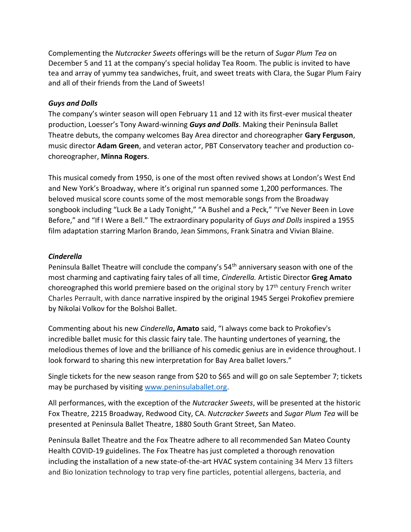Complementing the *Nutcracker Sweets* offerings will be the return of *Sugar Plum Tea* on December 5 and 11 at the company's special holiday Tea Room. The public is invited to have tea and array of yummy tea sandwiches, fruit, and sweet treats with Clara, the Sugar Plum Fairy and all of their friends from the Land of Sweets!

#### *Guys and Dolls*

The company's winter season will open February 11 and 12 with its first-ever musical theater production, Loesser's Tony Award-winning *Guys and Dolls*. Making their Peninsula Ballet Theatre debuts, the company welcomes Bay Area director and choreographer **Gary Ferguson**, music director **Adam Green**, and veteran actor, PBT Conservatory teacher and production cochoreographer, **Minna Rogers**.

This musical comedy from 1950, is one of the most often revived shows at London's West End and New York's Broadway, where it's original run spanned some 1,200 performances. The beloved musical score counts some of the most memorable songs from the Broadway songbook including "Luck Be a Lady Tonight," "A Bushel and a Peck," "I've Never Been in Love Before," and "If I Were a Bell." The extraordinary popularity of *Guys and Dolls* inspired a 1955 film adaptation starring Marlon Brando, Jean Simmons, Frank Sinatra and Vivian Blaine.

#### *Cinderella*

Peninsula Ballet Theatre will conclude the company's 54<sup>th</sup> anniversary season with one of the most charming and captivating fairy tales of all time, *Cinderella.* Artistic Director **Greg Amato** choreographed this world premiere based on the original story by 17<sup>th</sup> century French writer Charles Perrault, with dance narrative inspired by the original 1945 Sergei Prokofiev premiere by Nikolai Volkov for the Bolshoi Ballet.

Commenting about his new *Cinderella***, Amato** said, "I always come back to Prokofiev's incredible ballet music for this classic fairy tale. The haunting undertones of yearning, the melodious themes of love and the brilliance of his comedic genius are in evidence throughout. I look forward to sharing this new interpretation for Bay Area ballet lovers."

Single tickets for the new season range from \$20 to \$65 and will go on sale September 7; tickets may be purchased by visiting [www.peninsulaballet.org.](http://www.peninsulaballet.org/)

All performances, with the exception of the *Nutcracker Sweets*, will be presented at the historic Fox Theatre, 2215 Broadway, Redwood City, CA. *Nutcracker Sweets* and *Sugar Plum Tea* will be presented at Peninsula Ballet Theatre, 1880 South Grant Street, San Mateo.

Peninsula Ballet Theatre and the Fox Theatre adhere to all recommended San Mateo County Health COVID-19 guidelines. The Fox Theatre has just completed a thorough renovation including the installation of a new state-of-the-art HVAC system containing 34 Merv 13 filters and Bio Ionization technology to trap very fine particles, potential allergens, bacteria, and